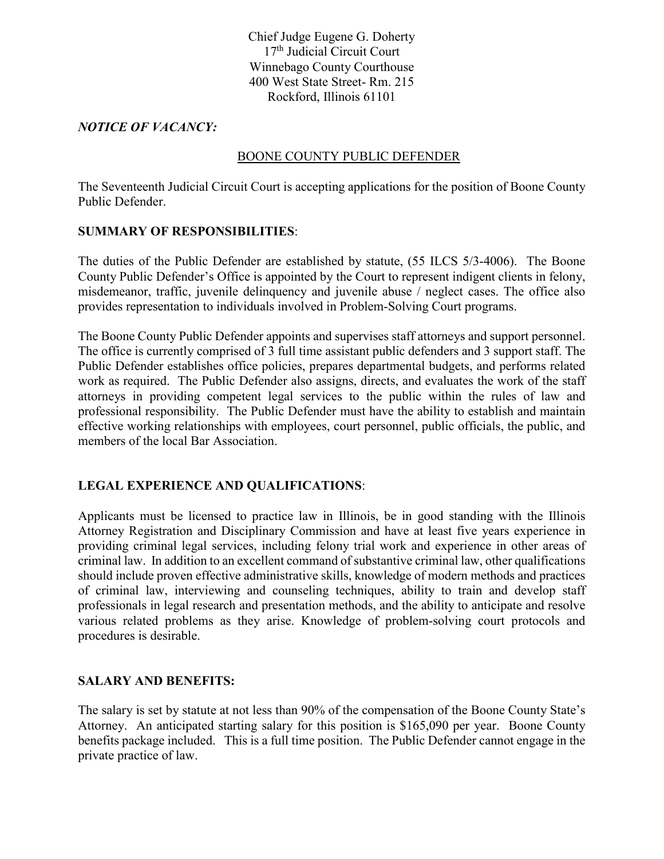Chief Judge Eugene G. Doherty 17<sup>th</sup> Judicial Circuit Court Winnebago County Courthouse 400 West State Street- Rm. 215 Rockford, Illinois 61101

### *NOTICE OF VACANCY:*

#### BOONE COUNTY PUBLIC DEFENDER

The Seventeenth Judicial Circuit Court is accepting applications for the position of Boone County Public Defender.

#### **SUMMARY OF RESPONSIBILITIES**:

The duties of the Public Defender are established by statute, (55 ILCS 5/3-4006). The Boone County Public Defender's Office is appointed by the Court to represent indigent clients in felony, misdemeanor, traffic, juvenile delinquency and juvenile abuse / neglect cases. The office also provides representation to individuals involved in Problem-Solving Court programs.

The Boone County Public Defender appoints and supervises staff attorneys and support personnel. The office is currently comprised of 3 full time assistant public defenders and 3 support staff. The Public Defender establishes office policies, prepares departmental budgets, and performs related work as required. The Public Defender also assigns, directs, and evaluates the work of the staff attorneys in providing competent legal services to the public within the rules of law and professional responsibility. The Public Defender must have the ability to establish and maintain effective working relationships with employees, court personnel, public officials, the public, and members of the local Bar Association.

# **LEGAL EXPERIENCE AND QUALIFICATIONS**:

Applicants must be licensed to practice law in Illinois, be in good standing with the Illinois Attorney Registration and Disciplinary Commission and have at least five years experience in providing criminal legal services, including felony trial work and experience in other areas of criminal law. In addition to an excellent command of substantive criminal law, other qualifications should include proven effective administrative skills, knowledge of modern methods and practices of criminal law, interviewing and counseling techniques, ability to train and develop staff professionals in legal research and presentation methods, and the ability to anticipate and resolve various related problems as they arise. Knowledge of problem-solving court protocols and procedures is desirable.

# **SALARY AND BENEFITS:**

The salary is set by statute at not less than 90% of the compensation of the Boone County State's Attorney. An anticipated starting salary for this position is \$165,090 per year. Boone County benefits package included. This is a full time position. The Public Defender cannot engage in the private practice of law.